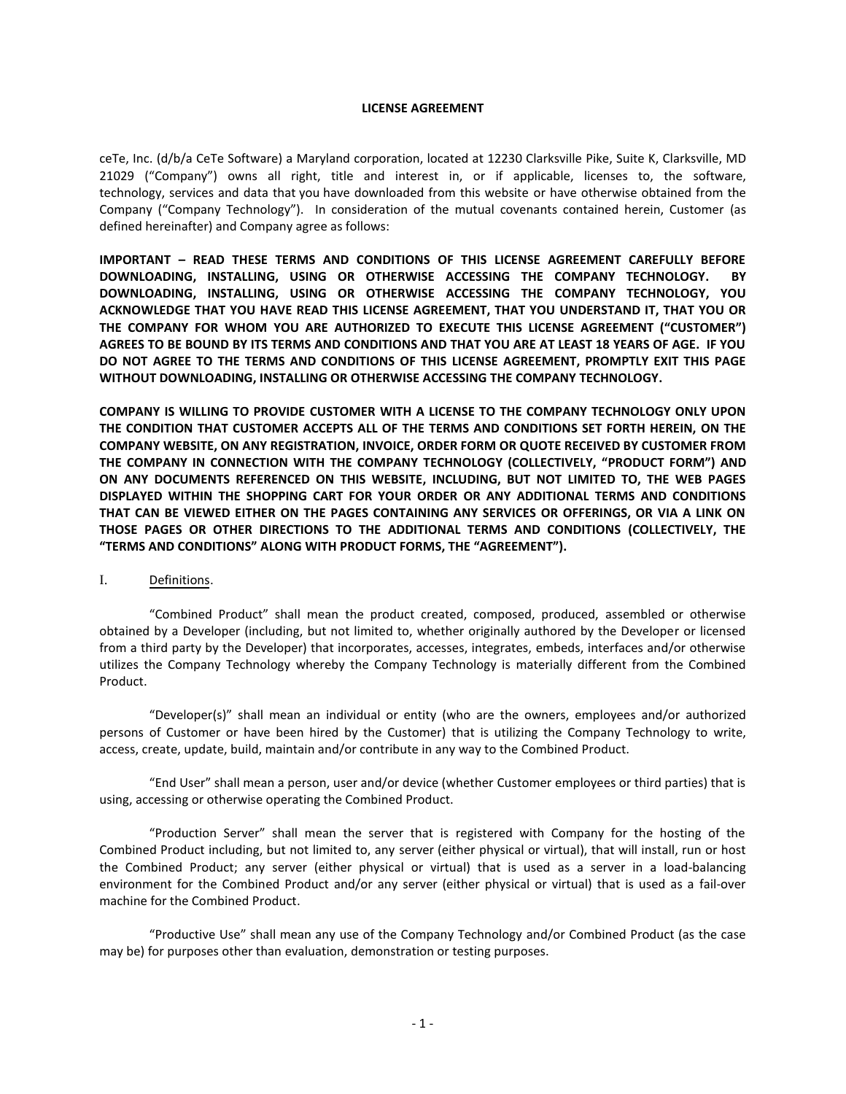#### **LICENSE AGREEMENT**

ceTe, Inc. (d/b/a CeTe Software) a Maryland corporation, located at 12230 Clarksville Pike, Suite K, Clarksville, MD 21029 ("Company") owns all right, title and interest in, or if applicable, licenses to, the software, technology, services and data that you have downloaded from this website or have otherwise obtained from the Company ("Company Technology"). In consideration of the mutual covenants contained herein, Customer (as defined hereinafter) and Company agree as follows:

**IMPORTANT – READ THESE TERMS AND CONDITIONS OF THIS LICENSE AGREEMENT CAREFULLY BEFORE DOWNLOADING, INSTALLING, USING OR OTHERWISE ACCESSING THE COMPANY TECHNOLOGY. BY DOWNLOADING, INSTALLING, USING OR OTHERWISE ACCESSING THE COMPANY TECHNOLOGY, YOU ACKNOWLEDGE THAT YOU HAVE READ THIS LICENSE AGREEMENT, THAT YOU UNDERSTAND IT, THAT YOU OR THE COMPANY FOR WHOM YOU ARE AUTHORIZED TO EXECUTE THIS LICENSE AGREEMENT ("CUSTOMER") AGREES TO BE BOUND BY ITS TERMS AND CONDITIONS AND THAT YOU ARE AT LEAST 18 YEARS OF AGE. IF YOU DO NOT AGREE TO THE TERMS AND CONDITIONS OF THIS LICENSE AGREEMENT, PROMPTLY EXIT THIS PAGE WITHOUT DOWNLOADING, INSTALLING OR OTHERWISE ACCESSING THE COMPANY TECHNOLOGY.** 

**COMPANY IS WILLING TO PROVIDE CUSTOMER WITH A LICENSE TO THE COMPANY TECHNOLOGY ONLY UPON THE CONDITION THAT CUSTOMER ACCEPTS ALL OF THE TERMS AND CONDITIONS SET FORTH HEREIN, ON THE COMPANY WEBSITE, ON ANY REGISTRATION, INVOICE, ORDER FORM OR QUOTE RECEIVED BY CUSTOMER FROM THE COMPANY IN CONNECTION WITH THE COMPANY TECHNOLOGY (COLLECTIVELY, "PRODUCT FORM") AND ON ANY DOCUMENTS REFERENCED ON THIS WEBSITE, INCLUDING, BUT NOT LIMITED TO, THE WEB PAGES DISPLAYED WITHIN THE SHOPPING CART FOR YOUR ORDER OR ANY ADDITIONAL TERMS AND CONDITIONS THAT CAN BE VIEWED EITHER ON THE PAGES CONTAINING ANY SERVICES OR OFFERINGS, OR VIA A LINK ON THOSE PAGES OR OTHER DIRECTIONS TO THE ADDITIONAL TERMS AND CONDITIONS (COLLECTIVELY, THE "TERMS AND CONDITIONS" ALONG WITH PRODUCT FORMS, THE "AGREEMENT").**

### I. Definitions.

"Combined Product" shall mean the product created, composed, produced, assembled or otherwise obtained by a Developer (including, but not limited to, whether originally authored by the Developer or licensed from a third party by the Developer) that incorporates, accesses, integrates, embeds, interfaces and/or otherwise utilizes the Company Technology whereby the Company Technology is materially different from the Combined Product.

"Developer(s)" shall mean an individual or entity (who are the owners, employees and/or authorized persons of Customer or have been hired by the Customer) that is utilizing the Company Technology to write, access, create, update, build, maintain and/or contribute in any way to the Combined Product.

"End User" shall mean a person, user and/or device (whether Customer employees or third parties) that is using, accessing or otherwise operating the Combined Product.

"Production Server" shall mean the server that is registered with Company for the hosting of the Combined Product including, but not limited to, any server (either physical or virtual), that will install, run or host the Combined Product; any server (either physical or virtual) that is used as a server in a load-balancing environment for the Combined Product and/or any server (either physical or virtual) that is used as a fail-over machine for the Combined Product.

"Productive Use" shall mean any use of the Company Technology and/or Combined Product (as the case may be) for purposes other than evaluation, demonstration or testing purposes.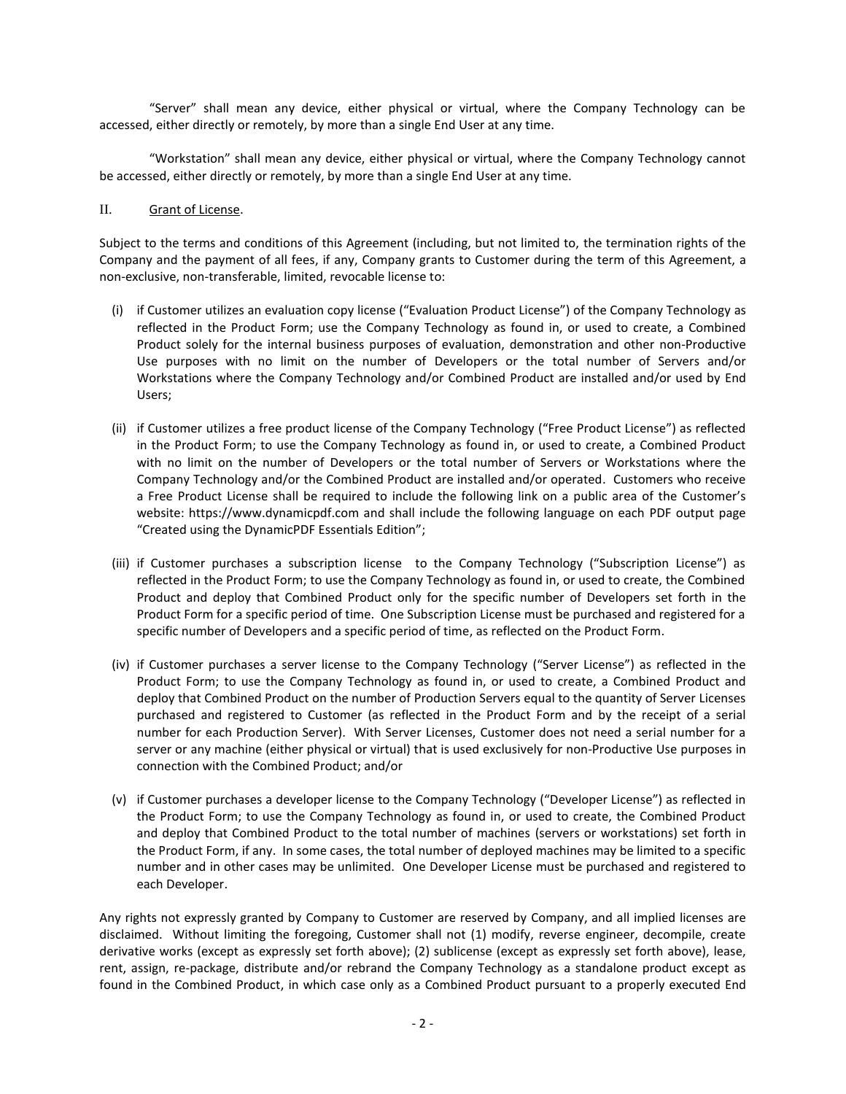"Server" shall mean any device, either physical or virtual, where the Company Technology can be accessed, either directly or remotely, by more than a single End User at any time.

"Workstation" shall mean any device, either physical or virtual, where the Company Technology cannot be accessed, either directly or remotely, by more than a single End User at any time.

### II. Grant of License.

Subject to the terms and conditions of this Agreement (including, but not limited to, the termination rights of the Company and the payment of all fees, if any, Company grants to Customer during the term of this Agreement, a non-exclusive, non-transferable, limited, revocable license to:

- (i) if Customer utilizes an evaluation copy license ("Evaluation Product License") of the Company Technology as reflected in the Product Form; use the Company Technology as found in, or used to create, a Combined Product solely for the internal business purposes of evaluation, demonstration and other non-Productive Use purposes with no limit on the number of Developers or the total number of Servers and/or Workstations where the Company Technology and/or Combined Product are installed and/or used by End Users;
- (ii) if Customer utilizes a free product license of the Company Technology ("Free Product License") as reflected in the Product Form; to use the Company Technology as found in, or used to create, a Combined Product with no limit on the number of Developers or the total number of Servers or Workstations where the Company Technology and/or the Combined Product are installed and/or operated. Customers who receive a Free Product License shall be required to include the following link on a public area of the Customer's website: [https://www.dynamicpdf.com](https://www.dynamicpdf.com/) and shall include the following language on each PDF output page "Created using the DynamicPDF Essentials Edition";
- (iii) if Customer purchases a subscription license to the Company Technology ("Subscription License") as reflected in the Product Form; to use the Company Technology as found in, or used to create, the Combined Product and deploy that Combined Product only for the specific number of Developers set forth in the Product Form for a specific period of time. One Subscription License must be purchased and registered for a specific number of Developers and a specific period of time, as reflected on the Product Form.
- (iv) if Customer purchases a server license to the Company Technology ("Server License") as reflected in the Product Form; to use the Company Technology as found in, or used to create, a Combined Product and deploy that Combined Product on the number of Production Servers equal to the quantity of Server Licenses purchased and registered to Customer (as reflected in the Product Form and by the receipt of a serial number for each Production Server). With Server Licenses, Customer does not need a serial number for a server or any machine (either physical or virtual) that is used exclusively for non-Productive Use purposes in connection with the Combined Product; and/or
- (v) if Customer purchases a developer license to the Company Technology ("Developer License") as reflected in the Product Form; to use the Company Technology as found in, or used to create, the Combined Product and deploy that Combined Product to the total number of machines (servers or workstations) set forth in the Product Form, if any. In some cases, the total number of deployed machines may be limited to a specific number and in other cases may be unlimited. One Developer License must be purchased and registered to each Developer.

Any rights not expressly granted by Company to Customer are reserved by Company, and all implied licenses are disclaimed. Without limiting the foregoing, Customer shall not (1) modify, reverse engineer, decompile, create derivative works (except as expressly set forth above); (2) sublicense (except as expressly set forth above), lease, rent, assign, re-package, distribute and/or rebrand the Company Technology as a standalone product except as found in the Combined Product, in which case only as a Combined Product pursuant to a properly executed End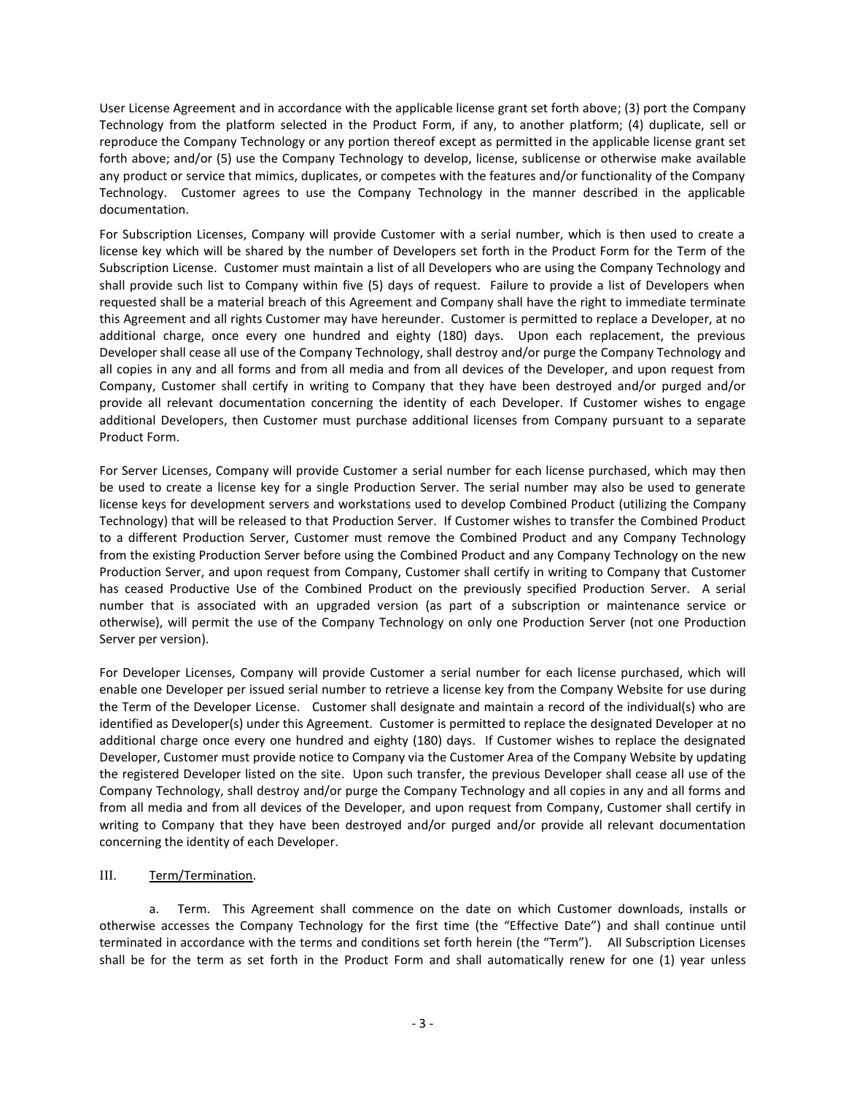User License Agreement and in accordance with the applicable license grant set forth above; (3) port the Company Technology from the platform selected in the Product Form, if any, to another platform; (4) duplicate, sell or reproduce the Company Technology or any portion thereof except as permitted in the applicable license grant set forth above; and/or (5) use the Company Technology to develop, license, sublicense or otherwise make available any product or service that mimics, duplicates, or competes with the features and/or functionality of the Company Technology. Customer agrees to use the Company Technology in the manner described in the applicable documentation.

For Subscription Licenses, Company will provide Customer with a serial number, which is then used to create a license key which will be shared by the number of Developers set forth in the Product Form for the Term of the Subscription License. Customer must maintain a list of all Developers who are using the Company Technology and shall provide such list to Company within five (5) days of request. Failure to provide a list of Developers when requested shall be a material breach of this Agreement and Company shall have the right to immediate terminate this Agreement and all rights Customer may have hereunder. Customer is permitted to replace a Developer, at no additional charge, once every one hundred and eighty (180) days. Upon each replacement, the previous Developer shall cease all use of the Company Technology, shall destroy and/or purge the Company Technology and all copies in any and all forms and from all media and from all devices of the Developer, and upon request from Company, Customer shall certify in writing to Company that they have been destroyed and/or purged and/or provide all relevant documentation concerning the identity of each Developer. If Customer wishes to engage additional Developers, then Customer must purchase additional licenses from Company pursuant to a separate Product Form.

For Server Licenses, Company will provide Customer a serial number for each license purchased, which may then be used to create a license key for a single Production Server. The serial number may also be used to generate license keys for development servers and workstations used to develop Combined Product (utilizing the Company Technology) that will be released to that Production Server. If Customer wishes to transfer the Combined Product to a different Production Server, Customer must remove the Combined Product and any Company Technology from the existing Production Server before using the Combined Product and any Company Technology on the new Production Server, and upon request from Company, Customer shall certify in writing to Company that Customer has ceased Productive Use of the Combined Product on the previously specified Production Server. A serial number that is associated with an upgraded version (as part of a subscription or maintenance service or otherwise), will permit the use of the Company Technology on only one Production Server (not one Production Server per version).

For Developer Licenses, Company will provide Customer a serial number for each license purchased, which will enable one Developer per issued serial number to retrieve a license key from the Company Website for use during the Term of the Developer License. Customer shall designate and maintain a record of the individual(s) who are identified as Developer(s) under this Agreement. Customer is permitted to replace the designated Developer at no additional charge once every one hundred and eighty (180) days. If Customer wishes to replace the designated Developer, Customer must provide notice to Company via the Customer Area of the Company Website by updating the registered Developer listed on the site. Upon such transfer, the previous Developer shall cease all use of the Company Technology, shall destroy and/or purge the Company Technology and all copies in any and all forms and from all media and from all devices of the Developer, and upon request from Company, Customer shall certify in writing to Company that they have been destroyed and/or purged and/or provide all relevant documentation concerning the identity of each Developer.

# III. Term/Termination.

a. Term. This Agreement shall commence on the date on which Customer downloads, installs or otherwise accesses the Company Technology for the first time (the "Effective Date") and shall continue until terminated in accordance with the terms and conditions set forth herein (the "Term"). All Subscription Licenses shall be for the term as set forth in the Product Form and shall automatically renew for one (1) year unless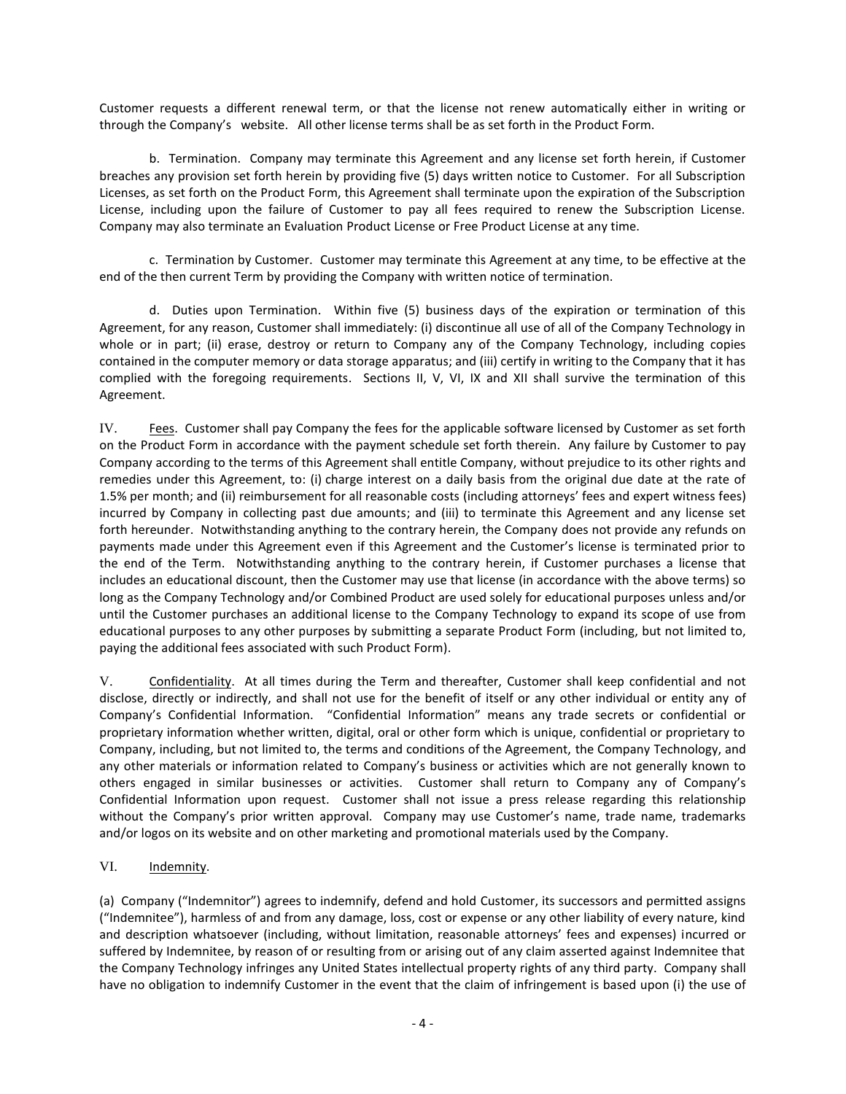Customer requests a different renewal term, or that the license not renew automatically either in writing or through the Company's website. All other license terms shall be as set forth in the Product Form.

b. Termination. Company may terminate this Agreement and any license set forth herein, if Customer breaches any provision set forth herein by providing five (5) days written notice to Customer. For all Subscription Licenses, as set forth on the Product Form, this Agreement shall terminate upon the expiration of the Subscription License, including upon the failure of Customer to pay all fees required to renew the Subscription License. Company may also terminate an Evaluation Product License or Free Product License at any time.

c. Termination by Customer. Customer may terminate this Agreement at any time, to be effective at the end of the then current Term by providing the Company with written notice of termination.

d. Duties upon Termination. Within five (5) business days of the expiration or termination of this Agreement, for any reason, Customer shall immediately: (i) discontinue all use of all of the Company Technology in whole or in part; (ii) erase, destroy or return to Company any of the Company Technology, including copies contained in the computer memory or data storage apparatus; and (iii) certify in writing to the Company that it has complied with the foregoing requirements. Sections II, V, VI, IX and XII shall survive the termination of this Agreement.

IV. Fees. Customer shall pay Company the fees for the applicable software licensed by Customer as set forth on the Product Form in accordance with the payment schedule set forth therein. Any failure by Customer to pay Company according to the terms of this Agreement shall entitle Company, without prejudice to its other rights and remedies under this Agreement, to: (i) charge interest on a daily basis from the original due date at the rate of 1.5% per month; and (ii) reimbursement for all reasonable costs (including attorneys' fees and expert witness fees) incurred by Company in collecting past due amounts; and (iii) to terminate this Agreement and any license set forth hereunder. Notwithstanding anything to the contrary herein, the Company does not provide any refunds on payments made under this Agreement even if this Agreement and the Customer's license is terminated prior to the end of the Term. Notwithstanding anything to the contrary herein, if Customer purchases a license that includes an educational discount, then the Customer may use that license (in accordance with the above terms) so long as the Company Technology and/or Combined Product are used solely for educational purposes unless and/or until the Customer purchases an additional license to the Company Technology to expand its scope of use from educational purposes to any other purposes by submitting a separate Product Form (including, but not limited to, paying the additional fees associated with such Product Form).

V. Confidentiality. At all times during the Term and thereafter, Customer shall keep confidential and not disclose, directly or indirectly, and shall not use for the benefit of itself or any other individual or entity any of Company's Confidential Information. "Confidential Information" means any trade secrets or confidential or proprietary information whether written, digital, oral or other form which is unique, confidential or proprietary to Company, including, but not limited to, the terms and conditions of the Agreement, the Company Technology, and any other materials or information related to Company's business or activities which are not generally known to others engaged in similar businesses or activities. Customer shall return to Company any of Company's Confidential Information upon request. Customer shall not issue a press release regarding this relationship without the Company's prior written approval. Company may use Customer's name, trade name, trademarks and/or logos on its website and on other marketing and promotional materials used by the Company.

# VI. Indemnity.

(a) Company ("Indemnitor") agrees to indemnify, defend and hold Customer, its successors and permitted assigns ("Indemnitee"), harmless of and from any damage, loss, cost or expense or any other liability of every nature, kind and description whatsoever (including, without limitation, reasonable attorneys' fees and expenses) incurred or suffered by Indemnitee, by reason of or resulting from or arising out of any claim asserted against Indemnitee that the Company Technology infringes any United States intellectual property rights of any third party. Company shall have no obligation to indemnify Customer in the event that the claim of infringement is based upon (i) the use of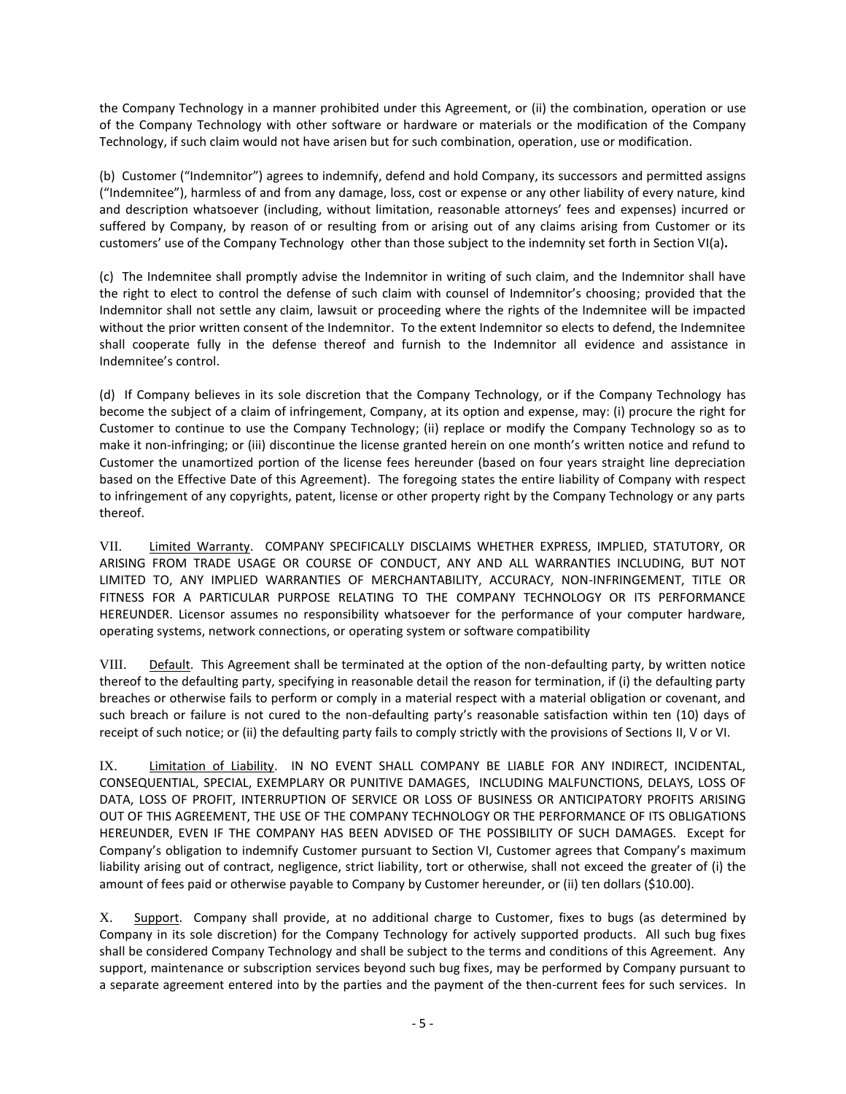the Company Technology in a manner prohibited under this Agreement, or (ii) the combination, operation or use of the Company Technology with other software or hardware or materials or the modification of the Company Technology, if such claim would not have arisen but for such combination, operation, use or modification.

(b) Customer ("Indemnitor") agrees to indemnify, defend and hold Company, its successors and permitted assigns ("Indemnitee"), harmless of and from any damage, loss, cost or expense or any other liability of every nature, kind and description whatsoever (including, without limitation, reasonable attorneys' fees and expenses) incurred or suffered by Company, by reason of or resulting from or arising out of any claims arising from Customer or its customers' use of the Company Technology other than those subject to the indemnity set forth in Section VI(a)**.**

(c) The Indemnitee shall promptly advise the Indemnitor in writing of such claim, and the Indemnitor shall have the right to elect to control the defense of such claim with counsel of Indemnitor's choosing; provided that the Indemnitor shall not settle any claim, lawsuit or proceeding where the rights of the Indemnitee will be impacted without the prior written consent of the Indemnitor. To the extent Indemnitor so elects to defend, the Indemnitee shall cooperate fully in the defense thereof and furnish to the Indemnitor all evidence and assistance in Indemnitee's control.

(d) If Company believes in its sole discretion that the Company Technology, or if the Company Technology has become the subject of a claim of infringement, Company, at its option and expense, may: (i) procure the right for Customer to continue to use the Company Technology; (ii) replace or modify the Company Technology so as to make it non-infringing; or (iii) discontinue the license granted herein on one month's written notice and refund to Customer the unamortized portion of the license fees hereunder (based on four years straight line depreciation based on the Effective Date of this Agreement). The foregoing states the entire liability of Company with respect to infringement of any copyrights, patent, license or other property right by the Company Technology or any parts thereof.

VII. Limited Warranty. COMPANY SPECIFICALLY DISCLAIMS WHETHER EXPRESS, IMPLIED, STATUTORY, OR ARISING FROM TRADE USAGE OR COURSE OF CONDUCT, ANY AND ALL WARRANTIES INCLUDING, BUT NOT LIMITED TO, ANY IMPLIED WARRANTIES OF MERCHANTABILITY, ACCURACY, NON-INFRINGEMENT, TITLE OR FITNESS FOR A PARTICULAR PURPOSE RELATING TO THE COMPANY TECHNOLOGY OR ITS PERFORMANCE HEREUNDER. Licensor assumes no responsibility whatsoever for the performance of your computer hardware, operating systems, network connections, or operating system or software compatibility

VIII. Default. This Agreement shall be terminated at the option of the non-defaulting party, by written notice thereof to the defaulting party, specifying in reasonable detail the reason for termination, if (i) the defaulting party breaches or otherwise fails to perform or comply in a material respect with a material obligation or covenant, and such breach or failure is not cured to the non-defaulting party's reasonable satisfaction within ten (10) days of receipt of such notice; or (ii) the defaulting party fails to comply strictly with the provisions of Sections II, V or VI.

IX. Limitation of Liability. IN NO EVENT SHALL COMPANY BE LIABLE FOR ANY INDIRECT, INCIDENTAL, CONSEQUENTIAL, SPECIAL, EXEMPLARY OR PUNITIVE DAMAGES, INCLUDING MALFUNCTIONS, DELAYS, LOSS OF DATA, LOSS OF PROFIT, INTERRUPTION OF SERVICE OR LOSS OF BUSINESS OR ANTICIPATORY PROFITS ARISING OUT OF THIS AGREEMENT, THE USE OF THE COMPANY TECHNOLOGY OR THE PERFORMANCE OF ITS OBLIGATIONS HEREUNDER, EVEN IF THE COMPANY HAS BEEN ADVISED OF THE POSSIBILITY OF SUCH DAMAGES. Except for Company's obligation to indemnify Customer pursuant to Section VI, Customer agrees that Company's maximum liability arising out of contract, negligence, strict liability, tort or otherwise, shall not exceed the greater of (i) the amount of fees paid or otherwise payable to Company by Customer hereunder, or (ii) ten dollars (\$10.00).

X. Support. Company shall provide, at no additional charge to Customer, fixes to bugs (as determined by Company in its sole discretion) for the Company Technology for actively supported products. All such bug fixes shall be considered Company Technology and shall be subject to the terms and conditions of this Agreement. Any support, maintenance or subscription services beyond such bug fixes, may be performed by Company pursuant to a separate agreement entered into by the parties and the payment of the then-current fees for such services. In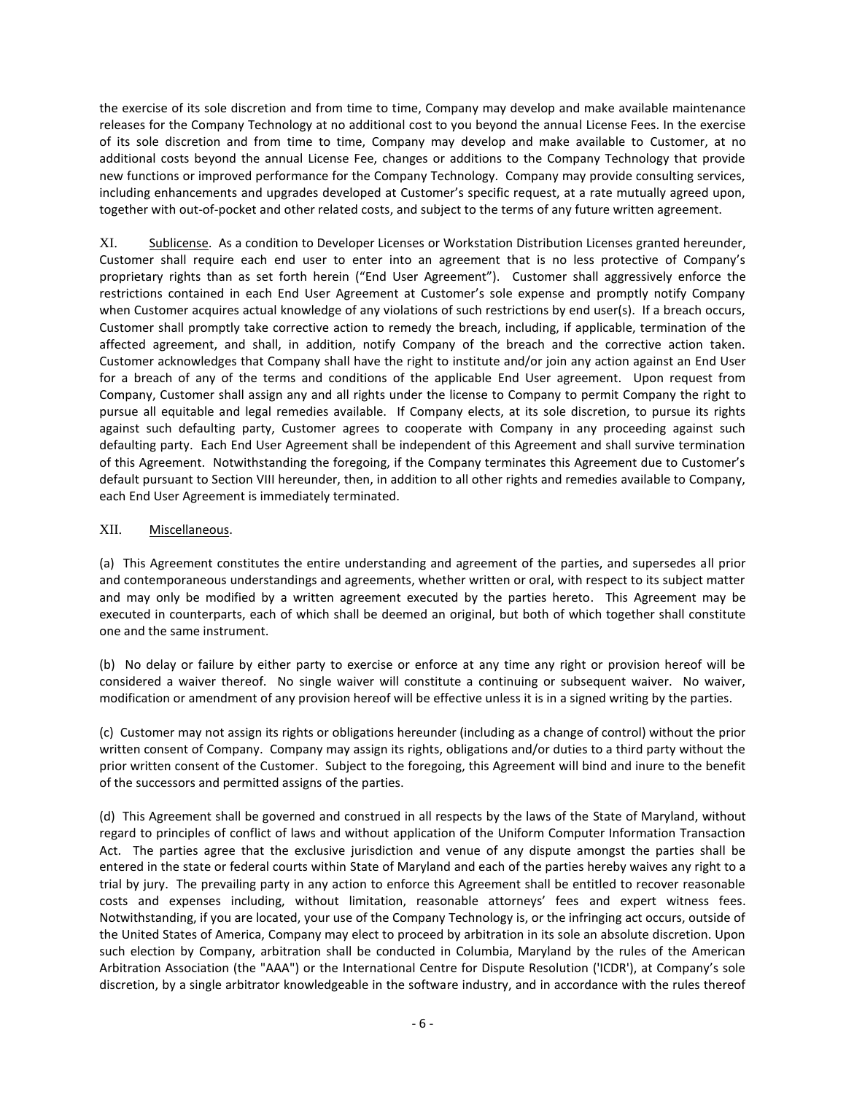the exercise of its sole discretion and from time to time, Company may develop and make available maintenance releases for the Company Technology at no additional cost to you beyond the annual License Fees. In the exercise of its sole discretion and from time to time, Company may develop and make available to Customer, at no additional costs beyond the annual License Fee, changes or additions to the Company Technology that provide new functions or improved performance for the Company Technology. Company may provide consulting services, including enhancements and upgrades developed at Customer's specific request, at a rate mutually agreed upon, together with out-of-pocket and other related costs, and subject to the terms of any future written agreement.

XI. Sublicense. As a condition to Developer Licenses or Workstation Distribution Licenses granted hereunder, Customer shall require each end user to enter into an agreement that is no less protective of Company's proprietary rights than as set forth herein ("End User Agreement"). Customer shall aggressively enforce the restrictions contained in each End User Agreement at Customer's sole expense and promptly notify Company when Customer acquires actual knowledge of any violations of such restrictions by end user(s). If a breach occurs, Customer shall promptly take corrective action to remedy the breach, including, if applicable, termination of the affected agreement, and shall, in addition, notify Company of the breach and the corrective action taken. Customer acknowledges that Company shall have the right to institute and/or join any action against an End User for a breach of any of the terms and conditions of the applicable End User agreement. Upon request from Company, Customer shall assign any and all rights under the license to Company to permit Company the right to pursue all equitable and legal remedies available. If Company elects, at its sole discretion, to pursue its rights against such defaulting party, Customer agrees to cooperate with Company in any proceeding against such defaulting party. Each End User Agreement shall be independent of this Agreement and shall survive termination of this Agreement. Notwithstanding the foregoing, if the Company terminates this Agreement due to Customer's default pursuant to Section VIII hereunder, then, in addition to all other rights and remedies available to Company, each End User Agreement is immediately terminated.

# XII. Miscellaneous.

(a) This Agreement constitutes the entire understanding and agreement of the parties, and supersedes all prior and contemporaneous understandings and agreements, whether written or oral, with respect to its subject matter and may only be modified by a written agreement executed by the parties hereto. This Agreement may be executed in counterparts, each of which shall be deemed an original, but both of which together shall constitute one and the same instrument.

(b) No delay or failure by either party to exercise or enforce at any time any right or provision hereof will be considered a waiver thereof. No single waiver will constitute a continuing or subsequent waiver. No waiver, modification or amendment of any provision hereof will be effective unless it is in a signed writing by the parties.

(c) Customer may not assign its rights or obligations hereunder (including as a change of control) without the prior written consent of Company. Company may assign its rights, obligations and/or duties to a third party without the prior written consent of the Customer. Subject to the foregoing, this Agreement will bind and inure to the benefit of the successors and permitted assigns of the parties.

(d) This Agreement shall be governed and construed in all respects by the laws of the State of Maryland, without regard to principles of conflict of laws and without application of the Uniform Computer Information Transaction Act. The parties agree that the exclusive jurisdiction and venue of any dispute amongst the parties shall be entered in the state or federal courts within State of Maryland and each of the parties hereby waives any right to a trial by jury. The prevailing party in any action to enforce this Agreement shall be entitled to recover reasonable costs and expenses including, without limitation, reasonable attorneys' fees and expert witness fees. Notwithstanding, if you are located, your use of the Company Technology is, or the infringing act occurs, outside of the United States of America, Company may elect to proceed by arbitration in its sole an absolute discretion. Upon such election by Company, arbitration shall be conducted in Columbia, Maryland by the rules of the American Arbitration Association (the "AAA") or the International Centre for Dispute Resolution ('ICDR'), at Company's sole discretion, by a single arbitrator knowledgeable in the software industry, and in accordance with the rules thereof